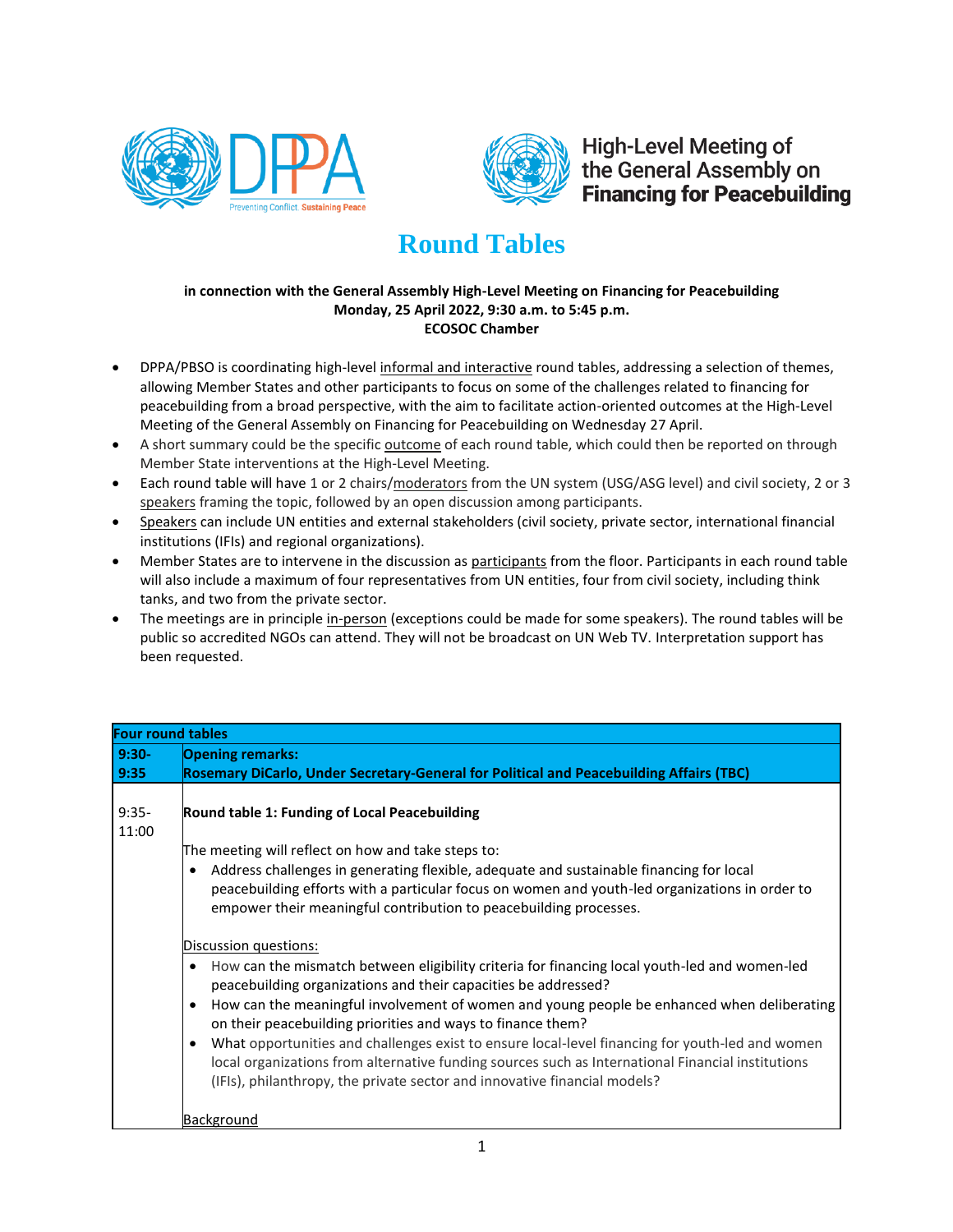



**High-Level Meeting of** the General Assembly on **Financing for Peacebuilding** 

## **Round Tables**

## **in connection with the General Assembly High-Level Meeting on Financing for Peacebuilding Monday, 25 April 2022, 9:30 a.m. to 5:45 p.m. ECOSOC Chamber**

- DPPA/PBSO is coordinating high-level informal and interactive round tables, addressing a selection of themes, allowing Member States and other participants to focus on some of the challenges related to financing for peacebuilding from a broad perspective, with the aim to facilitate action-oriented outcomes at the High-Level Meeting of the General Assembly on Financing for Peacebuilding on Wednesday 27 April.
- A short summary could be the specific outcome of each round table, which could then be reported on through Member State interventions at the High-Level Meeting.
- Each round table will have 1 or 2 chairs/moderators from the UN system (USG/ASG level) and civil society, 2 or 3 speakers framing the topic, followed by an open discussion among participants.
- Speakers can include UN entities and external stakeholders (civil society, private sector, international financial institutions (IFIs) and regional organizations).
- Member States are to intervene in the discussion as participants from the floor. Participants in each round table will also include a maximum of four representatives from UN entities, four from civil society, including think tanks, and two from the private sector.
- The meetings are in principle in-person (exceptions could be made for some speakers). The round tables will be public so accredited NGOs can attend. They will not be broadcast on UN Web TV. Interpretation support has been requested.

| <b>Four round tables</b> |                                                                                                                                                                                                                                                                                                                                                                                                                                                                                                                                                                                                                                                                                                                                                                                                                                                                                                                                                                                                                                  |  |
|--------------------------|----------------------------------------------------------------------------------------------------------------------------------------------------------------------------------------------------------------------------------------------------------------------------------------------------------------------------------------------------------------------------------------------------------------------------------------------------------------------------------------------------------------------------------------------------------------------------------------------------------------------------------------------------------------------------------------------------------------------------------------------------------------------------------------------------------------------------------------------------------------------------------------------------------------------------------------------------------------------------------------------------------------------------------|--|
| $9:30-$                  | <b>Opening remarks:</b>                                                                                                                                                                                                                                                                                                                                                                                                                                                                                                                                                                                                                                                                                                                                                                                                                                                                                                                                                                                                          |  |
| 9:35                     | Rosemary DiCarlo, Under Secretary-General for Political and Peacebuilding Affairs (TBC)                                                                                                                                                                                                                                                                                                                                                                                                                                                                                                                                                                                                                                                                                                                                                                                                                                                                                                                                          |  |
| $9:35-$<br>11:00         | Round table 1: Funding of Local Peacebuilding<br>The meeting will reflect on how and take steps to:<br>Address challenges in generating flexible, adequate and sustainable financing for local<br>peacebuilding efforts with a particular focus on women and youth-led organizations in order to<br>empower their meaningful contribution to peacebuilding processes.<br>Discussion questions:<br>How can the mismatch between eligibility criteria for financing local youth-led and women-led<br>$\bullet$<br>peacebuilding organizations and their capacities be addressed?<br>How can the meaningful involvement of women and young people be enhanced when deliberating<br>on their peacebuilding priorities and ways to finance them?<br>What opportunities and challenges exist to ensure local-level financing for youth-led and women<br>local organizations from alternative funding sources such as International Financial institutions<br>(IFIs), philanthropy, the private sector and innovative financial models? |  |
|                          | <b>Background</b>                                                                                                                                                                                                                                                                                                                                                                                                                                                                                                                                                                                                                                                                                                                                                                                                                                                                                                                                                                                                                |  |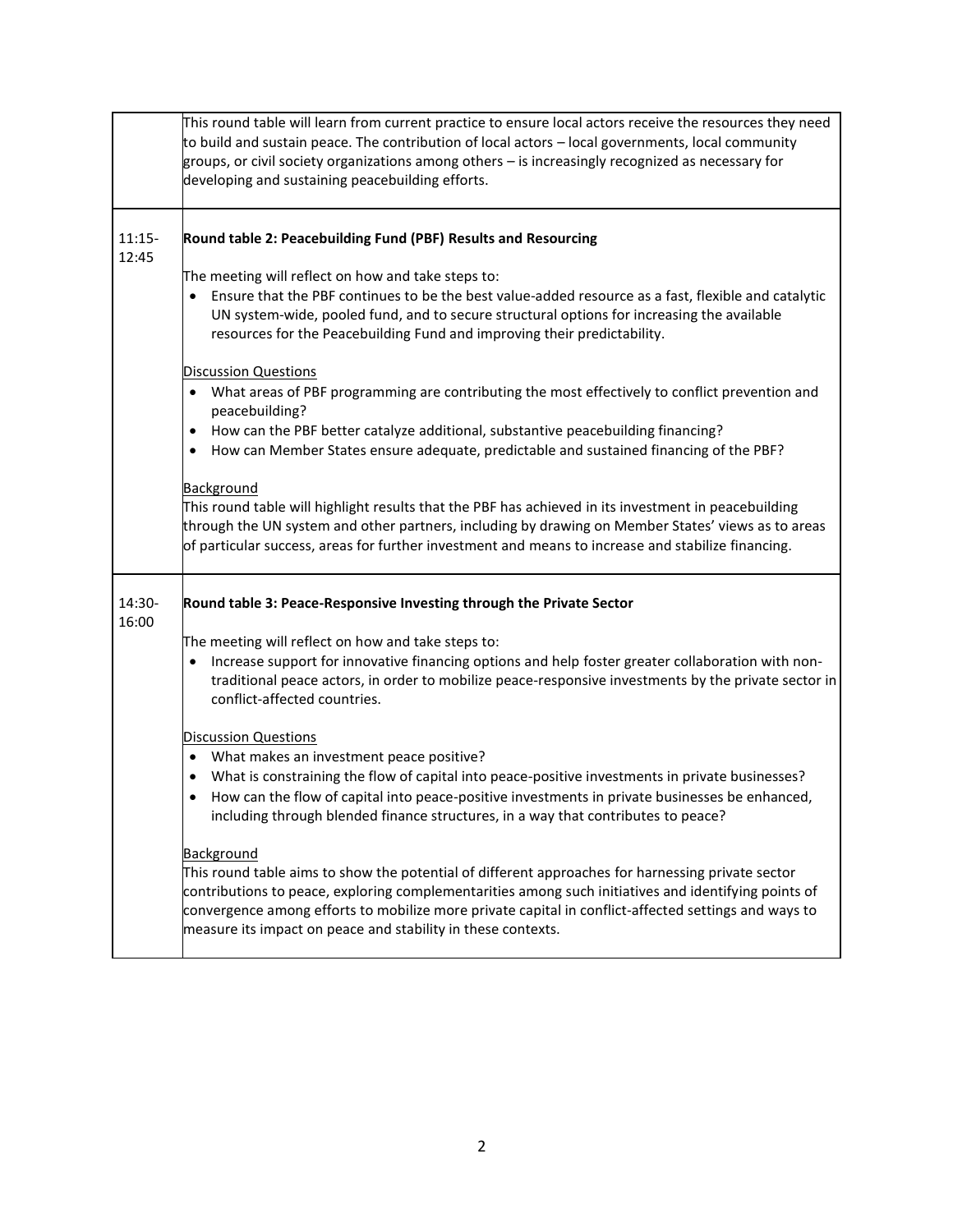|                   | This round table will learn from current practice to ensure local actors receive the resources they need<br>to build and sustain peace. The contribution of local actors - local governments, local community<br>groups, or civil society organizations among others - is increasingly recognized as necessary for<br>developing and sustaining peacebuilding efforts.                                 |
|-------------------|--------------------------------------------------------------------------------------------------------------------------------------------------------------------------------------------------------------------------------------------------------------------------------------------------------------------------------------------------------------------------------------------------------|
| $11:15-$<br>12:45 | Round table 2: Peacebuilding Fund (PBF) Results and Resourcing                                                                                                                                                                                                                                                                                                                                         |
|                   | The meeting will reflect on how and take steps to:                                                                                                                                                                                                                                                                                                                                                     |
|                   | • Ensure that the PBF continues to be the best value-added resource as a fast, flexible and catalytic<br>UN system-wide, pooled fund, and to secure structural options for increasing the available<br>resources for the Peacebuilding Fund and improving their predictability.                                                                                                                        |
|                   | <b>Discussion Questions</b>                                                                                                                                                                                                                                                                                                                                                                            |
|                   | • What areas of PBF programming are contributing the most effectively to conflict prevention and<br>peacebuilding?                                                                                                                                                                                                                                                                                     |
|                   | How can the PBF better catalyze additional, substantive peacebuilding financing?<br>$\bullet$<br>How can Member States ensure adequate, predictable and sustained financing of the PBF?<br>$\bullet$                                                                                                                                                                                                   |
|                   | <b>Background</b><br>This round table will highlight results that the PBF has achieved in its investment in peacebuilding<br>through the UN system and other partners, including by drawing on Member States' views as to areas<br>of particular success, areas for further investment and means to increase and stabilize financing.                                                                  |
| 14:30-<br>16:00   | Round table 3: Peace-Responsive Investing through the Private Sector                                                                                                                                                                                                                                                                                                                                   |
|                   | The meeting will reflect on how and take steps to:                                                                                                                                                                                                                                                                                                                                                     |
|                   | Increase support for innovative financing options and help foster greater collaboration with non-<br>traditional peace actors, in order to mobilize peace-responsive investments by the private sector in<br>conflict-affected countries.                                                                                                                                                              |
|                   | <b>Discussion Questions</b>                                                                                                                                                                                                                                                                                                                                                                            |
|                   | What makes an investment peace positive?<br>$\bullet$                                                                                                                                                                                                                                                                                                                                                  |
|                   | What is constraining the flow of capital into peace-positive investments in private businesses?<br>٠<br>• How can the flow of capital into peace-positive investments in private businesses be enhanced,<br>including through blended finance structures, in a way that contributes to peace?                                                                                                          |
|                   | <b>Background</b><br>This round table aims to show the potential of different approaches for harnessing private sector<br>contributions to peace, exploring complementarities among such initiatives and identifying points of<br>convergence among efforts to mobilize more private capital in conflict-affected settings and ways to<br>measure its impact on peace and stability in these contexts. |